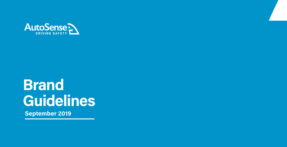

# **Brand** Guidelines **September 2019**

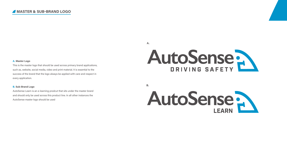#### **A. Master Logo**

This is the master logo that should be used across primary brand applications, such as, website, social media, video and print material. It is essential to the success of the brand that the logo always be applied with care and respect in every application.

#### **B. Sub-Brand Logo**

AutoSense Learn is an e-learning prodcut that sits under the master brand and should only be used across this product line. In all other instances the AutoSense master logo should be used

**A.**

# AutoSense



**B.**

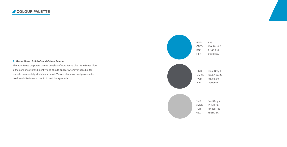





CMYK 100. 20. 10. 0 RGB 0. 149. 218 HEX #0095DA

#### **A. Master Brand & Sub-Brand Colour Palette**

PMS Cool Grey 11 CMYK 66. 57. 52. 29 RGB 85. 86. 90 HEX #55565A

The AutoSense corporate palette consists of AutoSense blue. AutoSense blue is the core of our brand identity and should appear whenever possible for users to immediately identify our brand. Various shades of cool gray can be used to add texture and depth to text, backgrounds.

> PMS Cool Grey 4 CMYK 12. 8. 9. 23 RGB 187. 188. 188 HEX #BBBCBC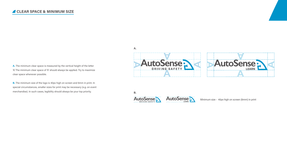Minimum size - 40px high on screen (6mm) in print



#### **CLEAR SPACE & MINIMUM SIZE**

**A.** The minimum clear space is measured by the vertical height of the letter 'A'. The minimum clear space of 'A' should always be applied. Try to maximize clear space whenever possible.

**B.** The minimum size of the logo is 40px high on screen and 6mm in print. In special circumstances, smaller sizes for print may be necessary (e.g. on event merchandise). In such cases, legibility should always be your top priority.



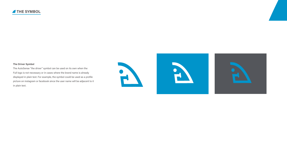

#### **The Driver Symbol**

The AutoSense "the driver" symbol can be used on its own when the Full logo is not necessary or in cases where the brand name is already displayed in plain text. For example, the symbol could be used as a profile picture on instagram or facebook since the user name will be adjacent to it in plain text.





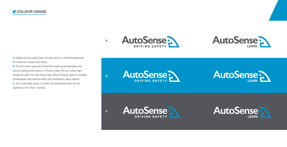

**B.**

**C.**



#### **COLOUR USAGE**



**A.** Ideally the full colour logo is to be used on a white background for maximum impact and clarity.

**B.** The full colour logo will not perform well on photography and various background colours. In those cases, the one colour logo should be used. The one colour logo should only be used on suitable photographs and colours within the AutoSense colour palette. **C.** On a soild dark colour or photo, the AutoSense blue can be applied to "the driver" symbol.







**A.**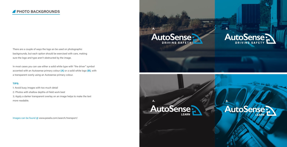There are a couple of ways the logo an be used on photographic backgrounds, but each option should be exercised with care, making sure the logo and type aren't obstructed by the image.

### AutoSense? **LEARN**

## AutoSense

**DU BENER** 

In most cases you can use either a solid white type with "the driver" symbol accented with an Autosense primary colour **(A)** or a soild white logo **(B)**, with a transparent overly using an Autosense primary colour.

#### **TIPS:**

1: Avoid busy images with too much detail 2: Photos with shallow depths-of-field work best 3; Apply a darker transparent overlay on an image helps to make the text more readable.

**A. B.**

**A. B.**



Images can be found @ www.pexels.com/search/transport/

## AutoSense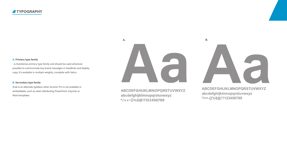

Word templates.<br>Word templates. **abcdefghijklmnopqrstuvwxyz**<br>
abcdefghijklmnopqrstuvwxyz **ABCDEFGHIJKLMNOPQRSTUVWXYZ \*/=+-{}%\$@!?123456789**

#### **A. Primary type family**

 is AutoSense primary type family and should be used whenever possible to communicate key brand messages in headlines and display copy. It's available in multiple weights, complete with italics

#### **B. Secondary type family**

Arial is an alternate typeface when Acumin Pro is not available or embeddable, such as when distributing PowerPoint, Keynote or

## **ABCDEFGHIJKLMNOPQRSTUVWXYZ \*/=+-{}%\$@!?123456789**



**A. B.**